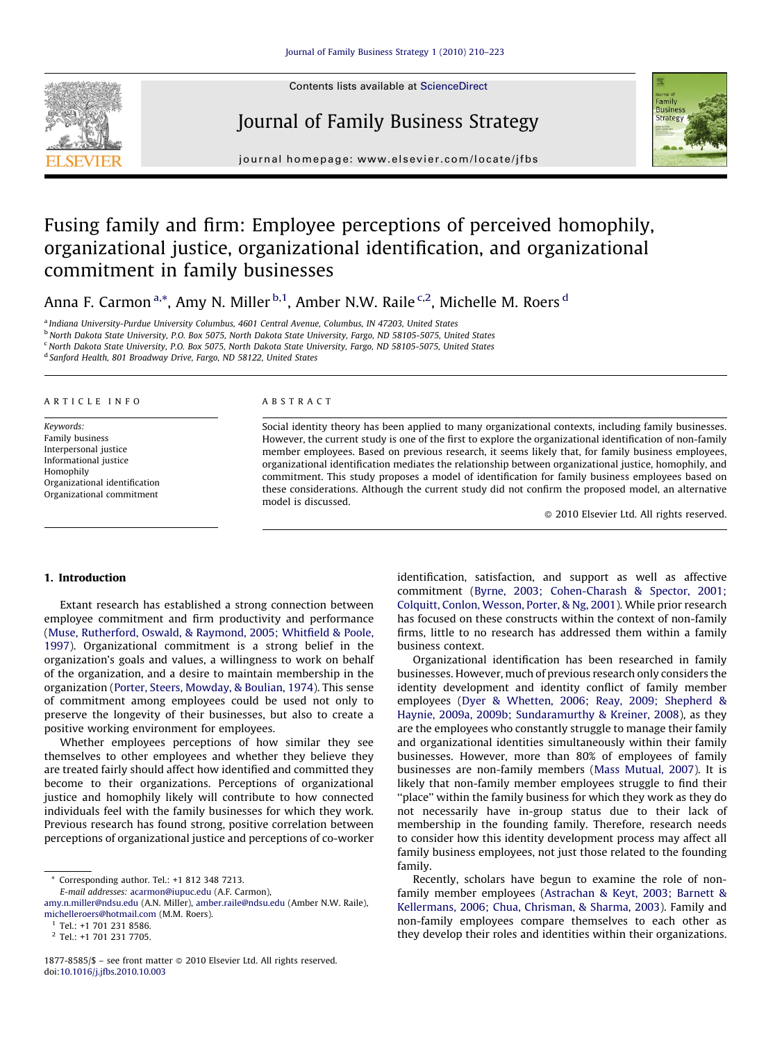

Contents lists available at [ScienceDirect](http://)

# Journal of Family Business Strategy



journal homepage: www.elsevier.com/locate/jfbs

# Fusing family and firm: Employee perceptions of perceived homophily, organizational justice, organizational identification, and organizational commitment in family businesses

Anna F. Carmon<sup>a,</sup>\*, Amy N. Miller <sup>b,1</sup>, Amber N.W. Raile <sup>c,2</sup>, Michelle M. Roers <sup>d</sup>

<sup>a</sup> Indiana University-Purdue University Columbus, 4601 Central Avenue, Columbus, IN 47203, United States

<sup>b</sup> North Dakota State University, P.O. Box 5075, North Dakota State University, Fargo, ND 58105-5075, United States

<sup>c</sup> North Dakota State University, P.O. Box 5075, North Dakota State University, Fargo, ND 58105-5075, United States

<sup>d</sup> Sanford Health, 801 Broadway Drive, Fargo, ND 58122, United States

## ARTICLE INFO

Keywords: Family business Interpersonal justice Informational justice Homophily Organizational identification Organizational commitment

#### ABSTRACT

Social identity theory has been applied to many organizational contexts, including family businesses. However, the current study is one of the first to explore the organizational identification of non-family member employees. Based on previous research, it seems likely that, for family business employees, organizational identification mediates the relationship between organizational justice, homophily, and commitment. This study proposes a model of identification for family business employees based on these considerations. Although the current study did not confirm the proposed model, an alternative model is discussed.

- 2010 Elsevier Ltd. All rights reserved.

# 1. Introduction

Extant research has established a strong connection between employee commitment and firm productivity and performance ([Muse, Rutherford, Oswald, & Raymond, 2005; Whitfield & Poole,](#page--1-0) [1997](#page--1-0)). Organizational commitment is a strong belief in the organization's goals and values, a willingness to work on behalf of the organization, and a desire to maintain membership in the organization ([Porter, Steers, Mowday, & Boulian, 1974\)](#page--1-0). This sense of commitment among employees could be used not only to preserve the longevity of their businesses, but also to create a positive working environment for employees.

Whether employees perceptions of how similar they see themselves to other employees and whether they believe they are treated fairly should affect how identified and committed they become to their organizations. Perceptions of organizational justice and homophily likely will contribute to how connected individuals feel with the family businesses for which they work. Previous research has found strong, positive correlation between perceptions of organizational justice and perceptions of co-worker

E-mail addresses: [acarmon@iupuc.edu](mailto:acarmon@iupuc.edu) (A.F. Carmon),

[amy.n.miller@ndsu.edu](mailto:amy.n.miller@ndsu.edu) (A.N. Miller), [amber.raile@ndsu.edu](mailto:amber.raile@ndsu.edu) (Amber N.W. Raile), [michelleroers@hotmail.com](mailto:michelleroers@hotmail.com) (M.M. Roers).

identification, satisfaction, and support as well as affective commitment [\(Byrne, 2003; Cohen-Charash & Spector, 2001;](#page--1-0) [Colquitt, Conlon, Wesson, Porter, & Ng, 2001](#page--1-0)). While prior research has focused on these constructs within the context of non-family firms, little to no research has addressed them within a family business context.

Organizational identification has been researched in family businesses. However, much of previous research only considers the identity development and identity conflict of family member employees ([Dyer & Whetten, 2006; Reay, 2009; Shepherd &](#page--1-0) [Haynie, 2009a, 2009b; Sundaramurthy & Kreiner, 2008\)](#page--1-0), as they are the employees who constantly struggle to manage their family and organizational identities simultaneously within their family businesses. However, more than 80% of employees of family businesses are non-family members ([Mass Mutual, 2007\)](#page--1-0). It is likely that non-family member employees struggle to find their ''place'' within the family business for which they work as they do not necessarily have in-group status due to their lack of membership in the founding family. Therefore, research needs to consider how this identity development process may affect all family business employees, not just those related to the founding family.

Recently, scholars have begun to examine the role of nonfamily member employees ([Astrachan & Keyt, 2003; Barnett &](#page--1-0) [Kellermans, 2006; Chua, Chrisman, & Sharma, 2003\)](#page--1-0). Family and non-family employees compare themselves to each other as they develop their roles and identities within their organizations.

Corresponding author. Tel.: +1 812 348 7213.

 $1$  Tel.: +1 701 231 8586.

<sup>2</sup> Tel.: +1 701 231 7705.

<sup>1877-8585/\$ -</sup> see front matter @ 2010 Elsevier Ltd. All rights reserved. doi:[10.1016/j.jfbs.2010.10.003](http://dx.doi.org/10.1016/j.jfbs.2010.10.003)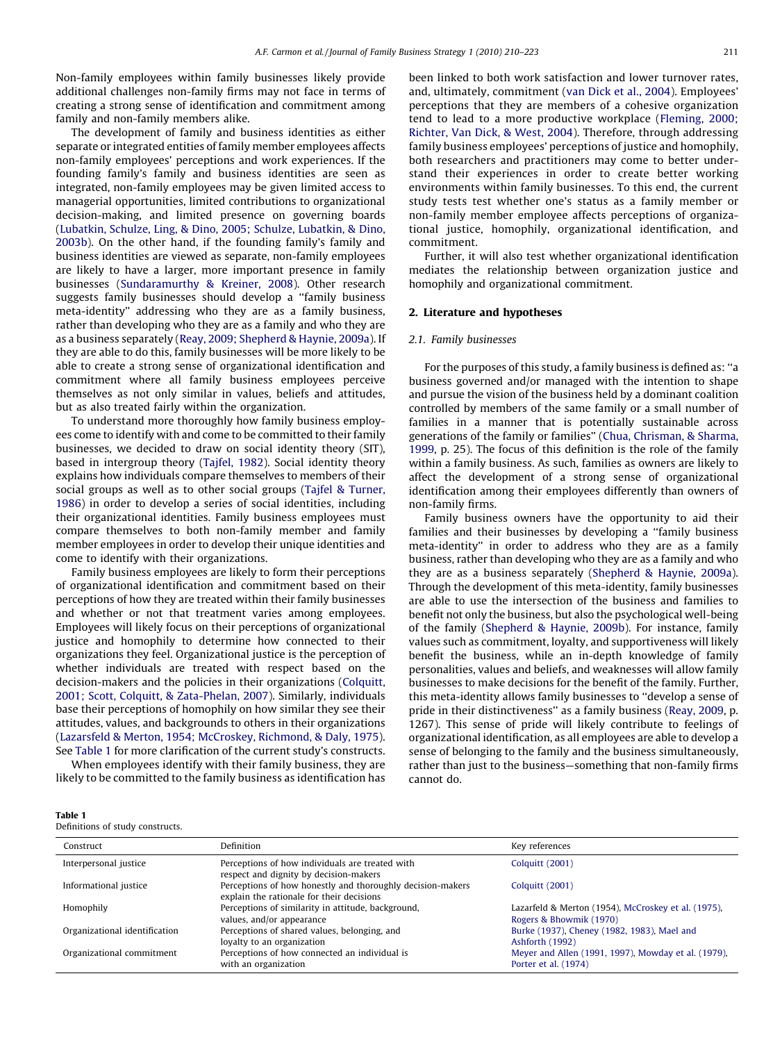Non-family employees within family businesses likely provide additional challenges non-family firms may not face in terms of creating a strong sense of identification and commitment among family and non-family members alike.

The development of family and business identities as either separate or integrated entities of family member employees affects non-family employees' perceptions and work experiences. If the founding family's family and business identities are seen as integrated, non-family employees may be given limited access to managerial opportunities, limited contributions to organizational decision-making, and limited presence on governing boards ([Lubatkin, Schulze, Ling, & Dino, 2005; Schulze, Lubatkin, & Dino,](#page--1-0) [2003b\)](#page--1-0). On the other hand, if the founding family's family and business identities are viewed as separate, non-family employees are likely to have a larger, more important presence in family businesses ([Sundaramurthy & Kreiner, 2008](#page--1-0)). Other research suggests family businesses should develop a ''family business meta-identity'' addressing who they are as a family business, rather than developing who they are as a family and who they are as a business separately ([Reay, 2009; Shepherd & Haynie, 2009a\)](#page--1-0). If they are able to do this, family businesses will be more likely to be able to create a strong sense of organizational identification and commitment where all family business employees perceive themselves as not only similar in values, beliefs and attitudes, but as also treated fairly within the organization.

To understand more thoroughly how family business employees come to identify with and come to be committed to their family businesses, we decided to draw on social identity theory (SIT), based in intergroup theory ([Tajfel, 1982\)](#page--1-0). Social identity theory explains how individuals compare themselves to members of their social groups as well as to other social groups [\(Tajfel & Turner,](#page--1-0) [1986\)](#page--1-0) in order to develop a series of social identities, including their organizational identities. Family business employees must compare themselves to both non-family member and family member employees in order to develop their unique identities and come to identify with their organizations.

Family business employees are likely to form their perceptions of organizational identification and commitment based on their perceptions of how they are treated within their family businesses and whether or not that treatment varies among employees. Employees will likely focus on their perceptions of organizational justice and homophily to determine how connected to their organizations they feel. Organizational justice is the perception of whether individuals are treated with respect based on the decision-makers and the policies in their organizations ([Colquitt,](#page--1-0) [2001; Scott, Colquitt, & Zata-Phelan, 2007\)](#page--1-0). Similarly, individuals base their perceptions of homophily on how similar they see their attitudes, values, and backgrounds to others in their organizations ([Lazarsfeld & Merton, 1954; McCroskey, Richmond, & Daly, 1975\)](#page--1-0). See Table 1 for more clarification of the current study's constructs.

When employees identify with their family business, they are likely to be committed to the family business as identification has been linked to both work satisfaction and lower turnover rates, and, ultimately, commitment ([van Dick et al., 2004\)](#page--1-0). Employees' perceptions that they are members of a cohesive organization tend to lead to a more productive workplace ([Fleming, 2000;](#page--1-0) [Richter, Van Dick, & West, 2004\)](#page--1-0). Therefore, through addressing family business employees' perceptions of justice and homophily, both researchers and practitioners may come to better understand their experiences in order to create better working environments within family businesses. To this end, the current study tests test whether one's status as a family member or non-family member employee affects perceptions of organizational justice, homophily, organizational identification, and commitment.

Further, it will also test whether organizational identification mediates the relationship between organization justice and homophily and organizational commitment.

## 2. Literature and hypotheses

## 2.1. Family businesses

For the purposes of this study, a family business is defined as: ''a business governed and/or managed with the intention to shape and pursue the vision of the business held by a dominant coalition controlled by members of the same family or a small number of families in a manner that is potentially sustainable across generations of the family or families'' [\(Chua, Chrisman, & Sharma,](#page--1-0) [1999,](#page--1-0) p. 25). The focus of this definition is the role of the family within a family business. As such, families as owners are likely to affect the development of a strong sense of organizational identification among their employees differently than owners of non-family firms.

Family business owners have the opportunity to aid their families and their businesses by developing a ''family business meta-identity'' in order to address who they are as a family business, rather than developing who they are as a family and who they are as a business separately ([Shepherd & Haynie, 2009a\)](#page--1-0). Through the development of this meta-identity, family businesses are able to use the intersection of the business and families to benefit not only the business, but also the psychological well-being of the family [\(Shepherd & Haynie, 2009b\)](#page--1-0). For instance, family values such as commitment, loyalty, and supportiveness will likely benefit the business, while an in-depth knowledge of family personalities, values and beliefs, and weaknesses will allow family businesses to make decisions for the benefit of the family. Further, this meta-identity allows family businesses to ''develop a sense of pride in their distinctiveness'' as a family business ([Reay, 2009](#page--1-0), p. 1267). This sense of pride will likely contribute to feelings of organizational identification, as all employees are able to develop a sense of belonging to the family and the business simultaneously, rather than just to the business—something that non-family firms cannot do.

|--|--|

| Definitions of study constructs. |  |  |  |
|----------------------------------|--|--|--|
|----------------------------------|--|--|--|

| Construct                     | Definition                                                                                              | Key references                                                                 |
|-------------------------------|---------------------------------------------------------------------------------------------------------|--------------------------------------------------------------------------------|
| Interpersonal justice         | Perceptions of how individuals are treated with<br>respect and dignity by decision-makers               | <b>Colquitt (2001)</b>                                                         |
| Informational justice         | Perceptions of how honestly and thoroughly decision-makers<br>explain the rationale for their decisions | <b>Colquitt (2001)</b>                                                         |
| Homophily                     | Perceptions of similarity in attitude, background,<br>values, and/or appearance                         | Lazarfeld & Merton (1954), McCroskey et al. (1975),<br>Rogers & Bhowmik (1970) |
| Organizational identification | Perceptions of shared values, belonging, and<br>loyalty to an organization                              | Burke (1937), Cheney (1982, 1983), Mael and<br>Ashforth (1992)                 |
| Organizational commitment     | Perceptions of how connected an individual is<br>with an organization                                   | Meyer and Allen (1991, 1997), Mowday et al. (1979),<br>Porter et al. (1974)    |